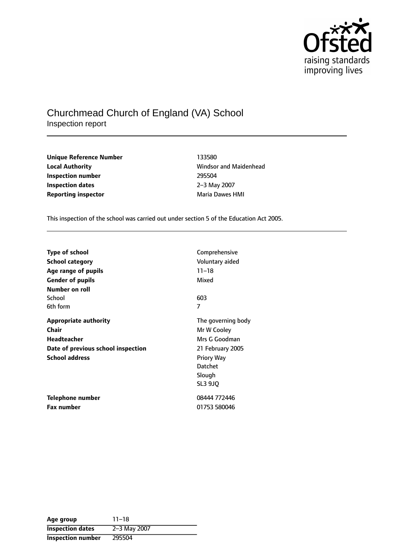

# Churchmead Church of England (VA) School Inspection report

**Unique Reference Number** 133580 **Local Authority Constanting Constanting Manual Manual Authority** Windsor and Maidenhead **Inspection number** 295504 **Inspection dates** 2-3 May 2007 **Reporting inspector and a structure in the Maria Dawes HMI** 

This inspection of the school was carried out under section 5 of the Education Act 2005.

| Type of school                     | Comprehensive      |
|------------------------------------|--------------------|
| <b>School category</b>             | Voluntary aided    |
| Age range of pupils                | $11 - 18$          |
| <b>Gender of pupils</b>            | Mixed              |
| Number on roll                     |                    |
| School                             | 603                |
| 6th form                           | 7                  |
| <b>Appropriate authority</b>       | The governing body |
| Chair                              | Mr W Cooley        |
| <b>Headteacher</b>                 | Mrs G Goodman      |
| Date of previous school inspection | 21 February 2005   |
| <b>School address</b>              | <b>Priory Way</b>  |
|                                    | Datchet            |
|                                    | Slough             |
|                                    | <b>SL3 9J0</b>     |
| Telephone number                   | 08444 772446       |
| <b>Fax number</b>                  | 01753 580046       |

| Age group               | $11 - 18$    |
|-------------------------|--------------|
| <b>Inspection dates</b> | 2-3 May 2007 |
| Inspection number       | 295504       |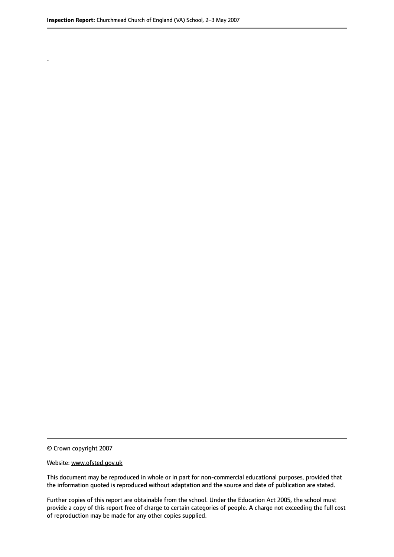.

© Crown copyright 2007

#### Website: www.ofsted.gov.uk

This document may be reproduced in whole or in part for non-commercial educational purposes, provided that the information quoted is reproduced without adaptation and the source and date of publication are stated.

Further copies of this report are obtainable from the school. Under the Education Act 2005, the school must provide a copy of this report free of charge to certain categories of people. A charge not exceeding the full cost of reproduction may be made for any other copies supplied.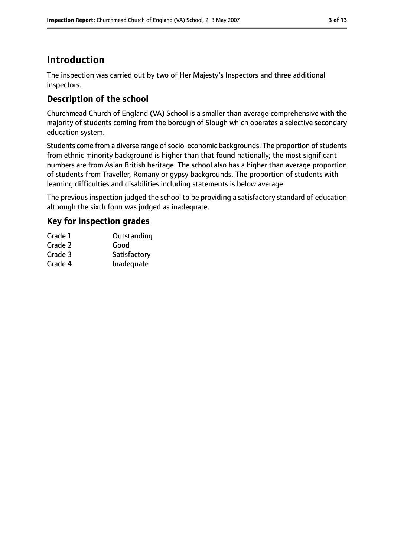# **Introduction**

The inspection was carried out by two of Her Majesty's Inspectors and three additional inspectors.

## **Description of the school**

Churchmead Church of England (VA) School is a smaller than average comprehensive with the majority of students coming from the borough of Slough which operates a selective secondary education system.

Students come from a diverse range of socio-economic backgrounds. The proportion of students from ethnic minority background is higher than that found nationally; the most significant numbers are from Asian British heritage. The school also has a higher than average proportion of students from Traveller, Romany or gypsy backgrounds. The proportion of students with learning difficulties and disabilities including statements is below average.

The previous inspection judged the school to be providing a satisfactory standard of education although the sixth form was judged as inadequate.

## **Key for inspection grades**

| Outstanding  |
|--------------|
| Good         |
| Satisfactory |
| Inadequate   |
|              |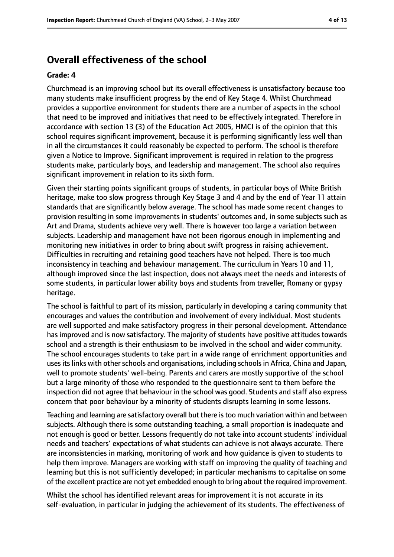# **Overall effectiveness of the school**

#### **Grade: 4**

Churchmead is an improving school but its overall effectiveness is unsatisfactory because too many students make insufficient progress by the end of Key Stage 4. Whilst Churchmead provides a supportive environment for students there are a number of aspects in the school that need to be improved and initiatives that need to be effectively integrated. Therefore in accordance with section 13 (3) of the Education Act 2005, HMCI is of the opinion that this school requires significant improvement, because it is performing significantly less well than in all the circumstances it could reasonably be expected to perform. The school is therefore given a Notice to Improve. Significant improvement is required in relation to the progress students make, particularly boys, and leadership and management. The school also requires significant improvement in relation to its sixth form.

Given their starting points significant groups of students, in particular boys of White British heritage, make too slow progress through Key Stage 3 and 4 and by the end of Year 11 attain standards that are significantly below average. The school has made some recent changes to provision resulting in some improvements in students' outcomes and, in some subjects such as Art and Drama, students achieve very well. There is however too large a variation between subjects. Leadership and management have not been rigorous enough in implementing and monitoring new initiatives in order to bring about swift progress in raising achievement. Difficulties in recruiting and retaining good teachers have not helped. There is too much inconsistency in teaching and behaviour management. The curriculum in Years 10 and 11, although improved since the last inspection, does not always meet the needs and interests of some students, in particular lower ability boys and students from traveller, Romany or gypsy heritage.

The school is faithful to part of its mission, particularly in developing a caring community that encourages and values the contribution and involvement of every individual. Most students are well supported and make satisfactory progress in their personal development. Attendance has improved and is now satisfactory. The majority of students have positive attitudes towards school and a strength is their enthusiasm to be involved in the school and wider community. The school encourages students to take part in a wide range of enrichment opportunities and uses its links with other schools and organisations, including schools in Africa, China and Japan, well to promote students' well-being. Parents and carers are mostly supportive of the school but a large minority of those who responded to the questionnaire sent to them before the inspection did not agree that behaviour in the school was good. Students and staff also express concern that poor behaviour by a minority of students disrupts learning in some lessons.

Teaching and learning are satisfactory overall but there istoo much variation within and between subjects. Although there is some outstanding teaching, a small proportion is inadequate and not enough is good or better. Lessons frequently do not take into account students' individual needs and teachers' expectations of what students can achieve is not always accurate. There are inconsistencies in marking, monitoring of work and how guidance is given to students to help them improve. Managers are working with staff on improving the quality of teaching and learning but this is not sufficiently developed; in particular mechanisms to capitalise on some of the excellent practice are not yet embedded enough to bring about the required improvement.

Whilst the school has identified relevant areas for improvement it is not accurate in its self-evaluation, in particular in judging the achievement of its students. The effectiveness of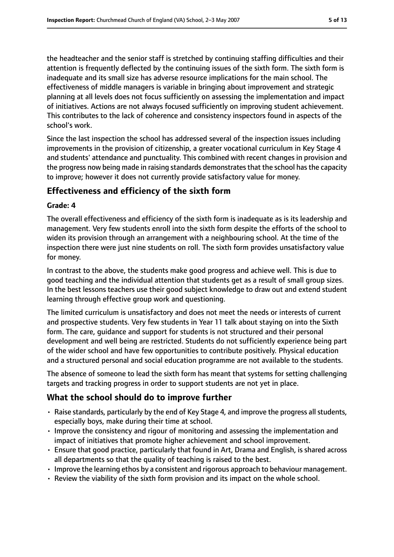the headteacher and the senior staff is stretched by continuing staffing difficulties and their attention is frequently deflected by the continuing issues of the sixth form. The sixth form is inadequate and its small size has adverse resource implications for the main school. The effectiveness of middle managers is variable in bringing about improvement and strategic planning at all levels does not focus sufficiently on assessing the implementation and impact of initiatives. Actions are not always focused sufficiently on improving student achievement. This contributes to the lack of coherence and consistency inspectors found in aspects of the school's work.

Since the last inspection the school has addressed several of the inspection issues including improvements in the provision of citizenship, a greater vocational curriculum in Key Stage 4 and students' attendance and punctuality. This combined with recent changes in provision and the progress now being made in raising standards demonstrates that the school has the capacity to improve; however it does not currently provide satisfactory value for money.

## **Effectiveness and efficiency of the sixth form**

## **Grade: 4**

The overall effectiveness and efficiency of the sixth form is inadequate as is its leadership and management. Very few students enroll into the sixth form despite the efforts of the school to widen its provision through an arrangement with a neighbouring school. At the time of the inspection there were just nine students on roll. The sixth form provides unsatisfactory value for money.

In contrast to the above, the students make good progress and achieve well. This is due to good teaching and the individual attention that students get as a result of small group sizes. In the best lessons teachers use their good subject knowledge to draw out and extend student learning through effective group work and questioning.

The limited curriculum is unsatisfactory and does not meet the needs or interests of current and prospective students. Very few students in Year 11 talk about staying on into the Sixth form. The care, guidance and support for students is not structured and their personal development and well being are restricted. Students do not sufficiently experience being part of the wider school and have few opportunities to contribute positively. Physical education and a structured personal and social education programme are not available to the students.

The absence of someone to lead the sixth form has meant that systems for setting challenging targets and tracking progress in order to support students are not yet in place.

# **What the school should do to improve further**

- Raise standards, particularly by the end of Key Stage 4, and improve the progress all students, especially boys, make during their time at school.
- Improve the consistency and rigour of monitoring and assessing the implementation and impact of initiatives that promote higher achievement and school improvement.
- Ensure that good practice, particularly that found in Art, Drama and English, is shared across all departments so that the quality of teaching is raised to the best.
- Improve the learning ethos by a consistent and rigorous approach to behaviour management.
- Review the viability of the sixth form provision and its impact on the whole school.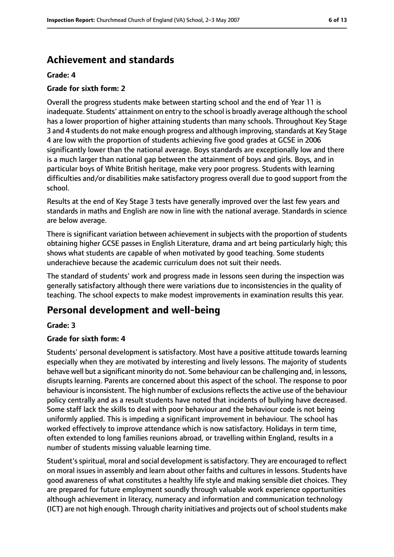# **Achievement and standards**

### **Grade: 4**

## **Grade for sixth form: 2**

Overall the progress students make between starting school and the end of Year 11 is inadequate. Students' attainment on entry to the school is broadly average although the school has a lower proportion of higher attaining students than many schools. Throughout Key Stage 3 and 4 students do not make enough progress and although improving, standards at Key Stage 4 are low with the proportion of students achieving five good grades at GCSE in 2006 significantly lower than the national average. Boys standards are exceptionally low and there is a much larger than national gap between the attainment of boys and girls. Boys, and in particular boys of White British heritage, make very poor progress. Students with learning difficulties and/or disabilities make satisfactory progress overall due to good support from the school.

Results at the end of Key Stage 3 tests have generally improved over the last few years and standards in maths and English are now in line with the national average. Standards in science are below average.

There is significant variation between achievement in subjects with the proportion of students obtaining higher GCSE passes in English Literature, drama and art being particularly high; this shows what students are capable of when motivated by good teaching. Some students underachieve because the academic curriculum does not suit their needs.

The standard of students' work and progress made in lessons seen during the inspection was generally satisfactory although there were variations due to inconsistencies in the quality of teaching. The school expects to make modest improvements in examination results this year.

# **Personal development and well-being**

#### **Grade: 3**

## **Grade for sixth form: 4**

Students' personal development is satisfactory. Most have a positive attitude towards learning especially when they are motivated by interesting and lively lessons. The majority of students behave well but a significant minority do not. Some behaviour can be challenging and, in lessons, disrupts learning. Parents are concerned about this aspect of the school. The response to poor behaviour is inconsistent. The high number of exclusions reflects the active use of the behaviour policy centrally and as a result students have noted that incidents of bullying have decreased. Some staff lack the skills to deal with poor behaviour and the behaviour code is not being uniformly applied. This is impeding a significant improvement in behaviour. The school has worked effectively to improve attendance which is now satisfactory. Holidays in term time, often extended to long families reunions abroad, or travelling within England, results in a number of students missing valuable learning time.

Student'sspiritual, moral and social development issatisfactory. They are encouraged to reflect on moral issues in assembly and learn about other faiths and cultures in lessons. Students have good awareness of what constitutes a healthy life style and making sensible diet choices. They are prepared for future employment soundly through valuable work experience opportunities although achievement in literacy, numeracy and information and communication technology (ICT) are not high enough. Through charity initiatives and projects out of school students make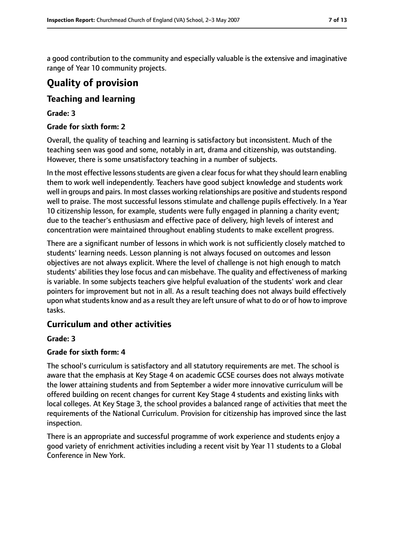a good contribution to the community and especially valuable is the extensive and imaginative range of Year 10 community projects.

# **Quality of provision**

## **Teaching and learning**

## **Grade: 3**

## **Grade for sixth form: 2**

Overall, the quality of teaching and learning is satisfactory but inconsistent. Much of the teaching seen was good and some, notably in art, drama and citizenship, was outstanding. However, there is some unsatisfactory teaching in a number of subjects.

In the most effective lessons students are given a clear focus for what they should learn enabling them to work well independently. Teachers have good subject knowledge and students work well in groups and pairs. In most classes working relationships are positive and students respond well to praise. The most successful lessons stimulate and challenge pupils effectively. In a Year 10 citizenship lesson, for example, students were fully engaged in planning a charity event; due to the teacher's enthusiasm and effective pace of delivery, high levels of interest and concentration were maintained throughout enabling students to make excellent progress.

There are a significant number of lessons in which work is not sufficiently closely matched to students' learning needs. Lesson planning is not always focused on outcomes and lesson objectives are not always explicit. Where the level of challenge is not high enough to match students' abilities they lose focus and can misbehave. The quality and effectiveness of marking is variable. In some subjects teachers give helpful evaluation of the students' work and clear pointers for improvement but not in all. As a result teaching does not always build effectively upon what students know and as a result they are left unsure of what to do or of how to improve tasks.

## **Curriculum and other activities**

## **Grade: 3**

## **Grade for sixth form: 4**

The school's curriculum is satisfactory and all statutory requirements are met. The school is aware that the emphasis at Key Stage 4 on academic GCSE courses does not always motivate the lower attaining students and from September a wider more innovative curriculum will be offered building on recent changes for current Key Stage 4 students and existing links with local colleges. At Key Stage 3, the school provides a balanced range of activities that meet the requirements of the National Curriculum. Provision for citizenship has improved since the last inspection.

There is an appropriate and successful programme of work experience and students enjoy a good variety of enrichment activities including a recent visit by Year 11 students to a Global Conference in New York.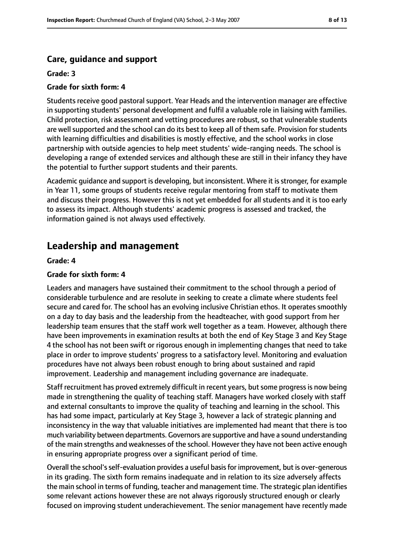## **Care, guidance and support**

### **Grade: 3**

### **Grade for sixth form: 4**

Students receive good pastoral support. Year Heads and the intervention manager are effective in supporting students' personal development and fulfil a valuable role in liaising with families. Child protection, risk assessment and vetting procedures are robust, so that vulnerable students are well supported and the school can do its best to keep all of them safe. Provision for students with learning difficulties and disabilities is mostly effective, and the school works in close partnership with outside agencies to help meet students' wide-ranging needs. The school is developing a range of extended services and although these are still in their infancy they have the potential to further support students and their parents.

Academic quidance and support is developing, but inconsistent. Where it is stronger, for example in Year 11, some groups of students receive regular mentoring from staff to motivate them and discuss their progress. However this is not yet embedded for all students and it is too early to assess its impact. Although students' academic progress is assessed and tracked, the information gained is not always used effectively.

# **Leadership and management**

#### **Grade: 4**

### **Grade for sixth form: 4**

Leaders and managers have sustained their commitment to the school through a period of considerable turbulence and are resolute in seeking to create a climate where students feel secure and cared for. The school has an evolving inclusive Christian ethos. It operates smoothly on a day to day basis and the leadership from the headteacher, with good support from her leadership team ensures that the staff work well together as a team. However, although there have been improvements in examination results at both the end of Key Stage 3 and Key Stage 4 the school has not been swift or rigorous enough in implementing changes that need to take place in order to improve students' progress to a satisfactory level. Monitoring and evaluation procedures have not always been robust enough to bring about sustained and rapid improvement. Leadership and management including governance are inadequate.

Staff recruitment has proved extremely difficult in recent years, butsome progressis now being made in strengthening the quality of teaching staff. Managers have worked closely with staff and external consultants to improve the quality of teaching and learning in the school. This has had some impact, particularly at Key Stage 3, however a lack of strategic planning and inconsistency in the way that valuable initiatives are implemented had meant that there is too much variability between departments. Governors are supportive and have a sound understanding of the main strengths and weaknesses of the school. However they have not been active enough in ensuring appropriate progress over a significant period of time.

Overall the school'sself-evaluation provides a useful basisfor improvement, but is over-generous in its grading. The sixth form remains inadequate and in relation to its size adversely affects the main school in terms of funding, teacher and management time. The strategic plan identifies some relevant actions however these are not always rigorously structured enough or clearly focused on improving student underachievement. The senior management have recently made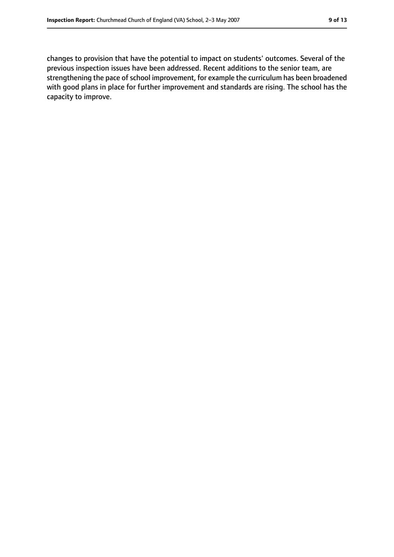changes to provision that have the potential to impact on students' outcomes. Several of the previous inspection issues have been addressed. Recent additions to the senior team, are strengthening the pace of school improvement, for example the curriculum has been broadened with good plans in place for further improvement and standards are rising. The school has the capacity to improve.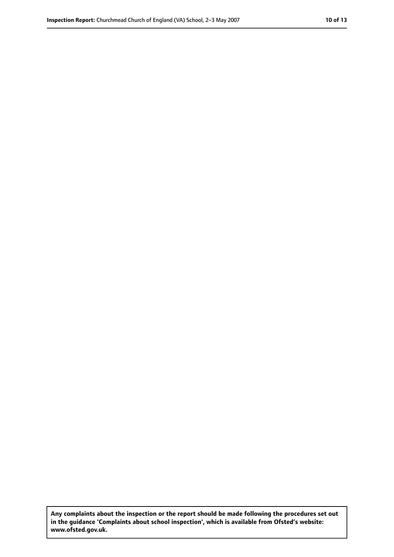**Any complaints about the inspection or the report should be made following the procedures set out in the guidance 'Complaints about school inspection', which is available from Ofsted's website: www.ofsted.gov.uk.**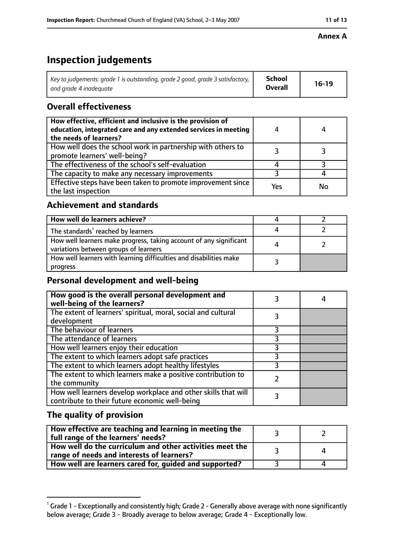### **Annex A**

# **Inspection judgements**

| Key to judgements: grade 1 is outstanding, grade 2 good, grade 3 satisfactory, $\vert$ | <b>School</b>  | $16-19$ |
|----------------------------------------------------------------------------------------|----------------|---------|
| and grade 4 inadeguate                                                                 | <b>Overall</b> |         |

## **Overall effectiveness**

| How effective, efficient and inclusive is the provision of<br>education, integrated care and any extended services in meeting<br>the needs of learners? |     | 4  |
|---------------------------------------------------------------------------------------------------------------------------------------------------------|-----|----|
| How well does the school work in partnership with others to<br>promote learners' well-being?                                                            |     |    |
| The effectiveness of the school's self-evaluation                                                                                                       |     |    |
| The capacity to make any necessary improvements                                                                                                         |     |    |
| Effective steps have been taken to promote improvement since<br>the last inspection                                                                     | Yes | No |

## **Achievement and standards**

| How well do learners achieve?                                                                               |  |
|-------------------------------------------------------------------------------------------------------------|--|
| The standards <sup>1</sup> reached by learners                                                              |  |
| How well learners make progress, taking account of any significant<br>variations between groups of learners |  |
| How well learners with learning difficulties and disabilities make<br>progress                              |  |

# **Personal development and well-being**

| How good is the overall personal development and<br>well-being of the learners?                                  |  |
|------------------------------------------------------------------------------------------------------------------|--|
| The extent of learners' spiritual, moral, social and cultural<br>development                                     |  |
| The behaviour of learners                                                                                        |  |
| The attendance of learners                                                                                       |  |
| How well learners enjoy their education                                                                          |  |
| The extent to which learners adopt safe practices                                                                |  |
| The extent to which learners adopt healthy lifestyles                                                            |  |
| The extent to which learners make a positive contribution to<br>the community                                    |  |
| How well learners develop workplace and other skills that will<br>contribute to their future economic well-being |  |

## **The quality of provision**

| How effective are teaching and learning in meeting the<br>full range of the learners' needs?          |  |
|-------------------------------------------------------------------------------------------------------|--|
| How well do the curriculum and other activities meet the<br>range of needs and interests of learners? |  |
| How well are learners cared for, guided and supported?                                                |  |

 $^1$  Grade 1 - Exceptionally and consistently high; Grade 2 - Generally above average with none significantly below average; Grade 3 - Broadly average to below average; Grade 4 - Exceptionally low.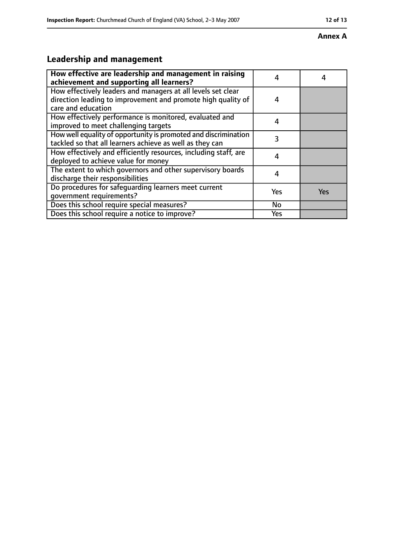#### **Annex A**

# **Leadership and management**

| How effective are leadership and management in raising<br>achievement and supporting all learners?                                                 |     |            |
|----------------------------------------------------------------------------------------------------------------------------------------------------|-----|------------|
| How effectively leaders and managers at all levels set clear<br>direction leading to improvement and promote high quality of<br>care and education | 4   |            |
| How effectively performance is monitored, evaluated and<br>improved to meet challenging targets                                                    | 4   |            |
| How well equality of opportunity is promoted and discrimination<br>tackled so that all learners achieve as well as they can                        | 3   |            |
| How effectively and efficiently resources, including staff, are<br>deployed to achieve value for money                                             | 4   |            |
| The extent to which governors and other supervisory boards<br>discharge their responsibilities                                                     | 4   |            |
| Do procedures for safeguarding learners meet current<br>qovernment requirements?                                                                   | Yes | <b>Yes</b> |
| Does this school require special measures?                                                                                                         | No  |            |
| Does this school require a notice to improve?                                                                                                      | Yes |            |